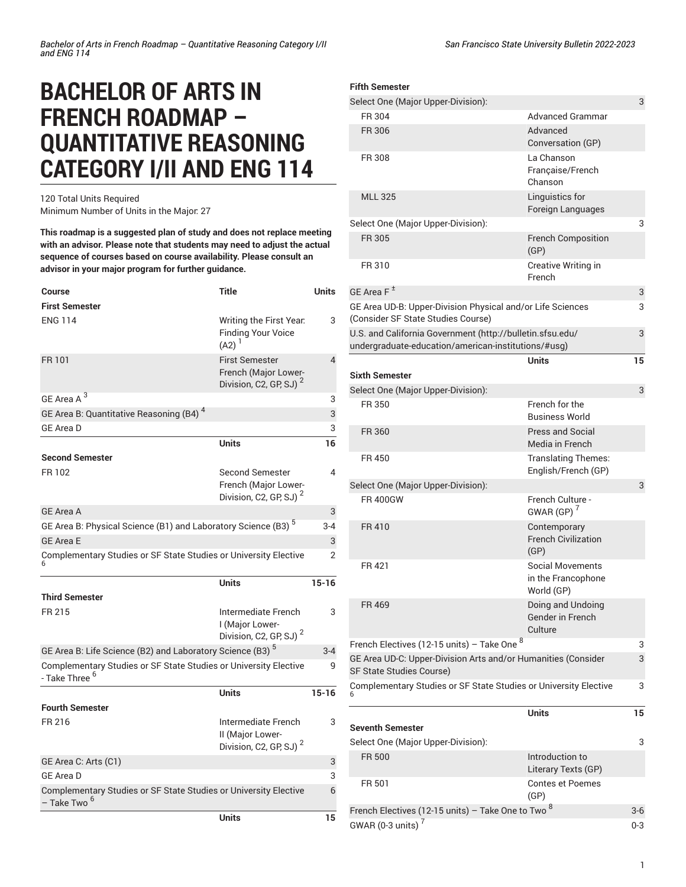# **BACHELOR OF ARTS IN FRENCH ROADMAP – QUANTITATIVE REASONING CATEGORY I/II AND ENG 114**

120 Total Units Required Minimum Number of Units in the Major: 27

**This roadmap is a suggested plan of study and does not replace meeting with an advisor. Please note that students may need to adjust the actual sequence of courses based on course availability. Please consult an advisor in your major program for further guidance.**

| <b>Course</b><br><b>First Semester</b>                                                        | Title                                                                                | <b>Units</b>   |
|-----------------------------------------------------------------------------------------------|--------------------------------------------------------------------------------------|----------------|
| <b>ENG 114</b>                                                                                | Writing the First Year.<br><b>Finding Your Voice</b><br>$(A2)^{1}$                   | 3              |
| FR 101                                                                                        | <b>First Semester</b><br>French (Major Lower-<br>Division, C2, GP, SJ) <sup>2</sup>  | $\overline{4}$ |
| GE Area A <sup>3</sup>                                                                        |                                                                                      | 3              |
| GE Area B: Quantitative Reasoning (B4) <sup>4</sup>                                           |                                                                                      | 3              |
| <b>GE Area D</b>                                                                              |                                                                                      | 3              |
|                                                                                               | <b>Units</b>                                                                         | 16             |
| <b>Second Semester</b>                                                                        |                                                                                      |                |
| FR 102                                                                                        | <b>Second Semester</b><br>French (Major Lower-<br>Division, C2, GP, SJ) <sup>2</sup> | 4              |
| <b>GE Area A</b>                                                                              |                                                                                      | 3              |
| GE Area B: Physical Science (B1) and Laboratory Science (B3) <sup>5</sup>                     |                                                                                      | $3 - 4$        |
| <b>GE Area E</b>                                                                              |                                                                                      | 3              |
| Complementary Studies or SF State Studies or University Elective                              |                                                                                      | 2              |
|                                                                                               | <b>Units</b>                                                                         | $15 - 16$      |
| <b>Third Semester</b>                                                                         |                                                                                      |                |
| FR 215                                                                                        | Intermediate French<br>I (Major Lower-<br>Division, C2, GP, SJ) <sup>2</sup>         | 3              |
| GE Area B: Life Science (B2) and Laboratory Science (B3) <sup>5</sup>                         |                                                                                      | $3 - 4$        |
| Complementary Studies or SF State Studies or University Elective<br>- Take Three <sup>6</sup> |                                                                                      | 9              |
|                                                                                               | Units                                                                                | $15 - 16$      |
| <b>Fourth Semester</b>                                                                        |                                                                                      |                |
| FR 216                                                                                        | Intermediate French<br>II (Major Lower-<br>Division, C2, GP, SJ) <sup>2</sup>        | 3              |
| GE Area C: Arts (C1)                                                                          |                                                                                      | 3              |
| <b>GE Area D</b>                                                                              |                                                                                      | 3              |
| Complementary Studies or SF State Studies or University Elective<br>– Take Two <sup>b</sup>   |                                                                                      | 6              |
|                                                                                               | <b>Units</b>                                                                         | 15             |

## **Fifth Semester** Select One (Major Upper-Division): 3 FR 304 **Advanced Grammar** FR 306 Advanced Advanced Conversation (GP) FR 308 La Chanson Française/French Chanson MLL 325 Linguistics for Foreign Languages Select One (Major Upper-Division): 3 FR 305 French Composition (GP) FR 310 Creative Writing in French GE [Area](/undergraduate-education/general-education/lower-division/#areaftext) F  $^{\pm}$ 3 GE Area UD-B: [Upper-Division](/undergraduate-education/general-education/upper-division/#physicalandorlifesciencesudbtext) Physical and/or Life Sciences [\(Consider SF State Studies Course\)](/undergraduate-education/general-education/upper-division/#physicalandorlifesciencesudbtext) 3 U.S. and California [Government](http://bulletin.sfsu.edu/undergraduate-education/american-institutions/#usg) ([http://bulletin.sfsu.edu/](http://bulletin.sfsu.edu/undergraduate-education/american-institutions/#usg) [undergraduate-education/american-institutions/#usg](http://bulletin.sfsu.edu/undergraduate-education/american-institutions/#usg)) 3 **Units 15 Sixth Semester** Select One (Major Upper-Division): 3 FR 350 French for the Business World FR 360 Press and Social Media in French FR 450 Translating Themes: English/French (GP) Select One (Major Upper-Division): 3 FR 400GW FR 400GW  $GWAR(GP)$ FR 410 Contemporary French Civilization (GP) FR 421 Social Movements in the Francophone World (GP) FR 469 Doing and Undoing Gender in French **Culture** French Electives (12-15 units) – Take One  $^8$ 3 GE Area UD-C: [Upper-Division](/undergraduate-education/general-education/upper-division/#artsandorhumanitiesudctext) Arts and/or Humanities (Consider [SF State Studies Course\)](/undergraduate-education/general-education/upper-division/#artsandorhumanitiesudctext) 3 [Complementary](/undergraduate-education/sf-state-studies/) Studies or SF State Studies or University Elective 6 3 **Units 15 Seventh Semester** Select One (Major Upper-Division): 3 FR 500 **Introduction to** Literary Texts (GP) FR 501 Contes et Poemes (GP)

French Electives (12-15 units) – Take One to Two  $^8$ 3-6 GWAR (0-3 units) $^7$ 0-3